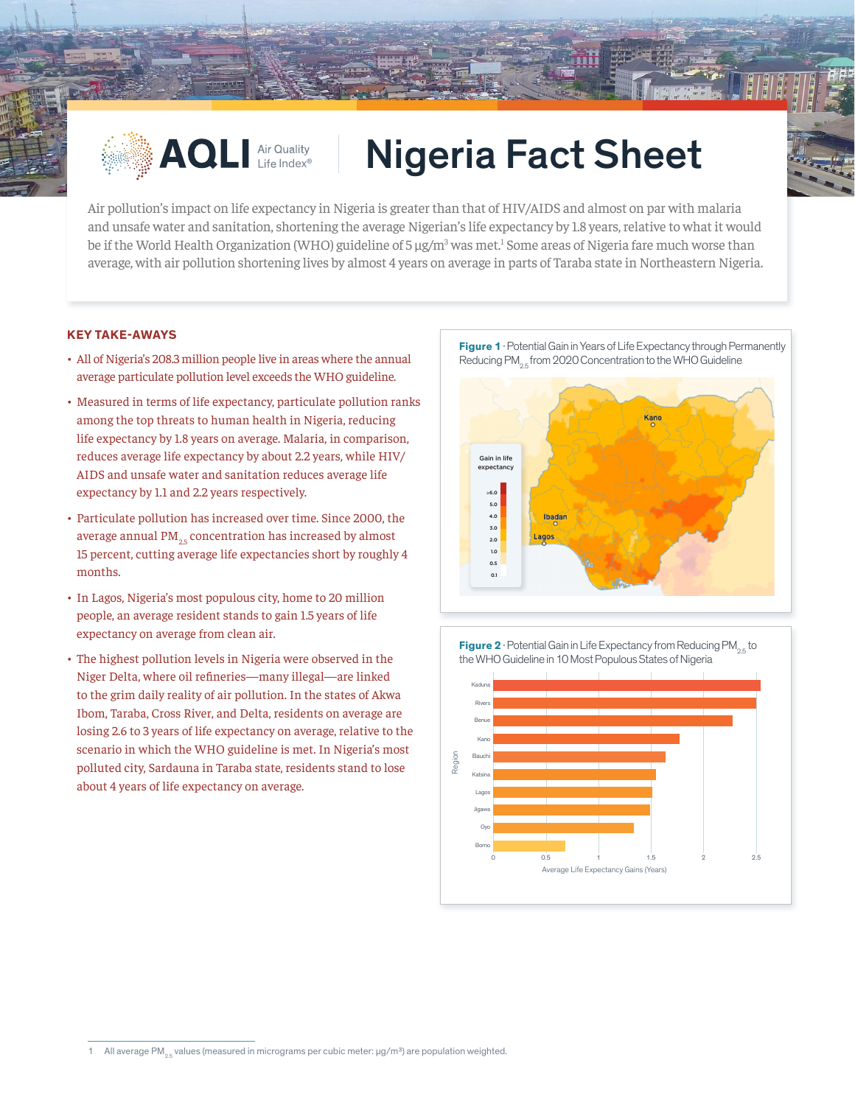

## **AQLI Air Quality | Nigeria Fact Sheet**

Air pollution's impact on life expectancy in Nigeria is greater than that of HIV/AIDS and almost on par with malaria and unsafe water and sanitation, shortening the average Nigerian's life expectancy by 1.8 years, relative to what it would be if the World Health Organization (WHO) guideline of 5 µg/m<sup>3</sup> was met.<sup>1</sup> Some areas of Nigeria fare much worse than average, with air pollution shortening lives by almost 4 years on average in parts of Taraba state in Northeastern Nigeria.

## **KEY TAKE-AWAYS**

- All of Nigeria's 208.3 million people live in areas where the annual average particulate pollution level exceeds the WHO guideline.
- Measured in terms of life expectancy, particulate pollution ranks among the top threats to human health in Nigeria, reducing life expectancy by 1.8 years on average. Malaria, in comparison, reduces average life expectancy by about 2.2 years, while HIV/ AIDS and unsafe water and sanitation reduces average life expectancy by 1.1 and 2.2 years respectively.
- Particulate pollution has increased over time. Since 2000, the average annual  $PM_{25}$  concentration has increased by almost 15 percent, cutting average life expectancies short by roughly 4 months.
- In Lagos, Nigeria's most populous city, home to 20 million people, an average resident stands to gain 1.5 years of life expectancy on average from clean air.
- The highest pollution levels in Nigeria were observed in the Niger Delta, where oil refineries—many illegal—are linked to the grim daily reality of air pollution. In the states of Akwa Ibom, Taraba, Cross River, and Delta, residents on average are losing 2.6 to 3 years of life expectancy on average, relative to the scenario in which the WHO guideline is met. In Nigeria's most polluted city, Sardauna in Taraba state, residents stand to lose about 4 years of life expectancy on average.

**Figure 1** · Potential Gain in Years of Life Expectancy through Permanently Reducing PM<sub>os</sub> from 2020 Concentration to the WHO Guideline



**Figure 2** · Potential Gain in Life Expectancy from Reducing PM<sub>2.5</sub> to the WHO Guideline in 10 Most Populous States of Nigeria



<sup>1</sup> All average PM<sub>2.5</sub> values (measured in micrograms per cubic meter:  $\mu$ g/m<sup>3</sup>) are population weighted.